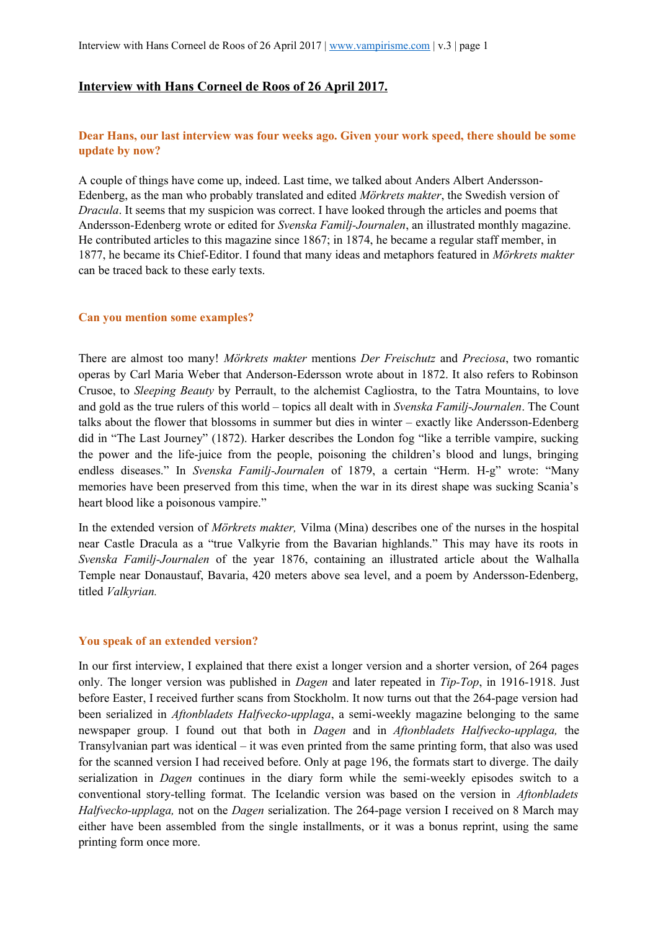# **Interview with Hans Corneel de Roos of 26 April 2017.**

# **Dear Hans, our last interview was four weeks ago. Given your work speed, there should be some update by now?**

A couple of things have come up, indeed. Last time, we talked about Anders Albert Andersson-Edenberg, as the man who probably translated and edited *Mörkrets makter*, the Swedish version of *Dracula*. It seems that my suspicion was correct. I have looked through the articles and poems that Andersson-Edenberg wrote or edited for *Svenska Familj-Journalen*, an illustrated monthly magazine. He contributed articles to this magazine since 1867; in 1874, he became a regular staff member, in 1877, he became its Chief-Editor. I found that many ideas and metaphors featured in *Mörkrets makter* can be traced back to these early texts.

### **Can you mention some examples?**

There are almost too many! *Mörkrets makter* mentions *Der Freischutz* and *Preciosa*, two romantic operas by Carl Maria Weber that Anderson-Edersson wrote about in 1872. It also refers to Robinson Crusoe, to *Sleeping Beauty* by Perrault, to the alchemist Cagliostra, to the Tatra Mountains, to love and gold as the true rulers of this world – topics all dealt with in *Svenska Familj-Journalen*. The Count talks about the flower that blossoms in summer but dies in winter – exactly like Andersson-Edenberg did in "The Last Journey" (1872). Harker describes the London fog "like a terrible vampire, sucking the power and the life-juice from the people, poisoning the children's blood and lungs, bringing endless diseases." In *Svenska Familj-Journalen* of 1879, a certain "Herm. H-g" wrote: "Many memories have been preserved from this time, when the war in its direst shape was sucking Scania's heart blood like a poisonous vampire."

In the extended version of *Mörkrets makter,* Vilma (Mina) describes one of the nurses in the hospital near Castle Dracula as a "true Valkyrie from the Bavarian highlands." This may have its roots in *Svenska Familj-Journalen* of the year 1876, containing an illustrated article about the Walhalla Temple near Donaustauf, Bavaria, 420 meters above sea level, and a poem by Andersson-Edenberg, titled *Valkyrian.*

#### **You speak of an extended version?**

In our first interview, I explained that there exist a longer version and a shorter version, of 264 pages only. The longer version was published in *Dagen* and later repeated in *Tip-Top*, in 1916-1918. Just before Easter, I received further scans from Stockholm. It now turns out that the 264-page version had been serialized in *Aftonbladets Halfvecko-upplaga*, a semi-weekly magazine belonging to the same newspaper group. I found out that both in *Dagen* and in *Aftonbladets Halfvecko-upplaga,* the Transylvanian part was identical – it was even printed from the same printing form, that also was used for the scanned version I had received before. Only at page 196, the formats start to diverge. The daily serialization in *Dagen* continues in the diary form while the semi-weekly episodes switch to a conventional story-telling format. The Icelandic version was based on the version in *Aftonbladets Halfvecko-upplaga,* not on the *Dagen* serialization. The 264-page version I received on 8 March may either have been assembled from the single installments, or it was a bonus reprint, using the same printing form once more.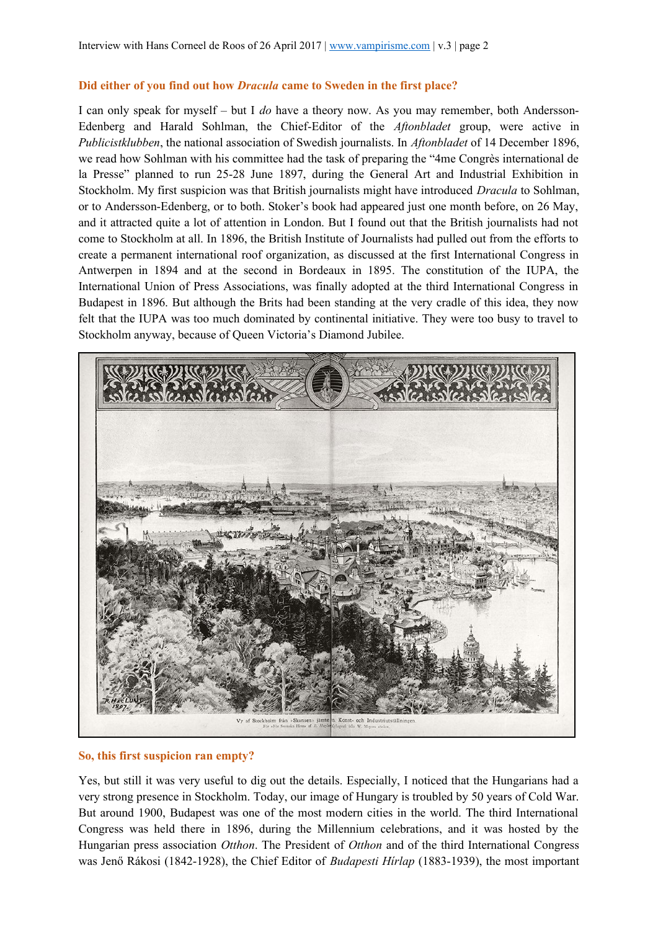## **Did either of you find out how** *Dracula* **came to Sweden in the first place?**

I can only speak for myself – but I *do* have a theory now. As you may remember, both Andersson-Edenberg and Harald Sohlman, the Chief-Editor of the *Aftonbladet* group, were active in *Publicistklubben*, the national association of Swedish journalists. In *Aftonbladet* of 14 December 1896, we read how Sohlman with his committee had the task of preparing the "4me Congrès international de la Presse" planned to run 25-28 June 1897, during the General Art and Industrial Exhibition in Stockholm. My first suspicion was that British journalists might have introduced *Dracula* to Sohlman, or to Andersson-Edenberg, or to both. Stoker's book had appeared just one month before, on 26 May, and it attracted quite a lot of attention in London. But I found out that the British journalists had not come to Stockholm at all. In 1896, the British Institute of Journalists had pulled out from the efforts to create a permanent international roof organization, as discussed at the first International Congress in Antwerpen in 1894 and at the second in Bordeaux in 1895. The constitution of the IUPA, the International Union of Press Associations, was finally adopted at the third International Congress in Budapest in 1896. But although the Brits had been standing at the very cradle of this idea, they now felt that the IUPA was too much dominated by continental initiative. They were too busy to travel to Stockholm anyway, because of Queen Victoria's Diamond Jubilee.



### **So, this first suspicion ran empty?**

Yes, but still it was very useful to dig out the details. Especially, I noticed that the Hungarians had a very strong presence in Stockholm. Today, our image of Hungary is troubled by 50 years of Cold War. But around 1900, Budapest was one of the most modern cities in the world. The third International Congress was held there in 1896, during the Millennium celebrations, and it was hosted by the Hungarian press association *Otthon*. The President of *Otthon* and of the third International Congress was Jenő Rákosi (1842-1928), the Chief Editor of *Budapesti Hírlap* (1883-1939), the most important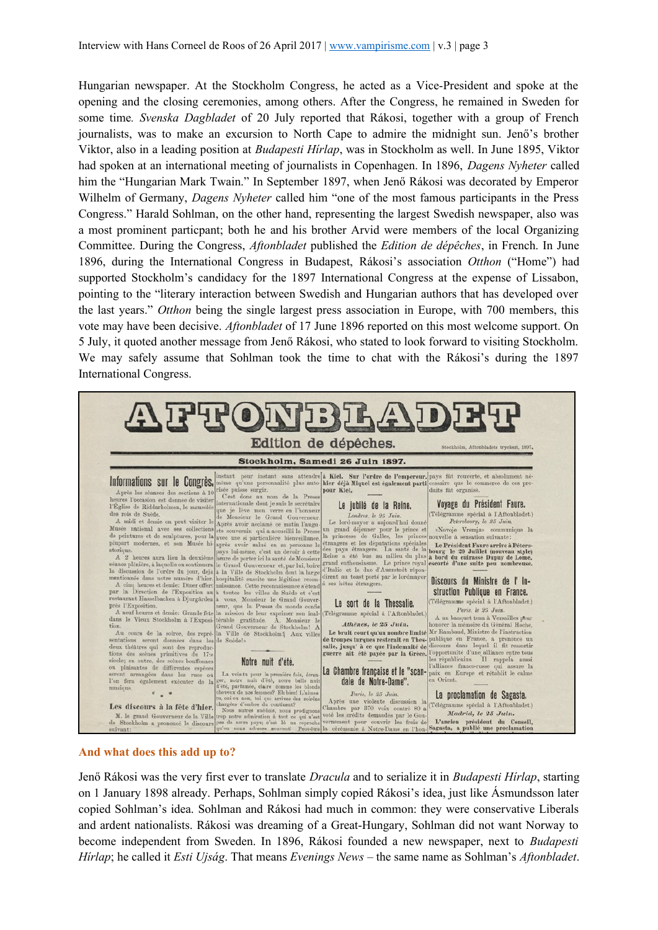Hungarian newspaper. At the Stockholm Congress, he acted as a Vice-President and spoke at the opening and the closing ceremonies, among others. After the Congress, he remained in Sweden for some time*. Svenska Dagbladet* of 20 July reported that Rákosi, together with a group of French journalists, was to make an excursion to North Cape to admire the midnight sun. Jenő's brother Viktor, also in a leading position at *Budapesti Hírlap*, was in Stockholm as well. In June 1895, Viktor had spoken at an international meeting of journalists in Copenhagen. In 1896, *Dagens Nyheter* called him the "Hungarian Mark Twain." In September 1897, when Jenő Rákosi was decorated by Emperor Wilhelm of Germany, *Dagens Nyheter* called him "one of the most famous participants in the Press Congress." Harald Sohlman, on the other hand, representing the largest Swedish newspaper, also was a most prominent particpant; both he and his brother Arvid were members of the local Organizing Committee. During the Congress, *Aftonbladet* published the *Edition de dépêches*, in French. In June 1896, during the International Congress in Budapest, Rákosi's association *Otthon* ("Home") had supported Stockholm's candidacy for the 1897 International Congress at the expense of Lissabon, pointing to the "literary interaction between Swedish and Hungarian authors that has developed over the last years." *Otthon* being the single largest press association in Europe, with 700 members, this vote may have been decisive. *Aftonbladet* of 17 June 1896 reported on this most welcome support. On 5 July, it quoted another message from Jenő Rákosi, who stated to look forward to visiting Stockholm. We may safely assume that Sohlman took the time to chat with the Rákosi's during the 1897 International Congress.



### **And what does this add up to?**

Jenő Rákosi was the very first ever to translate *Dracula* and to serialize it in *Budapesti Hírlap*, starting on 1 January 1898 already. Perhaps, Sohlman simply copied Rákosi's idea, just like Ásmundsson later copied Sohlman's idea. Sohlman and Rákosi had much in common: they were conservative Liberals and ardent nationalists. Rákosi was dreaming of a Great-Hungary, Sohlman did not want Norway to become independent from Sweden. In 1896, Rákosi founded a new newspaper, next to *Budapesti Hírlap*; he called it *Esti Ujság*. That means *Evenings News* – the same name as Sohlman's *Aftonbladet*.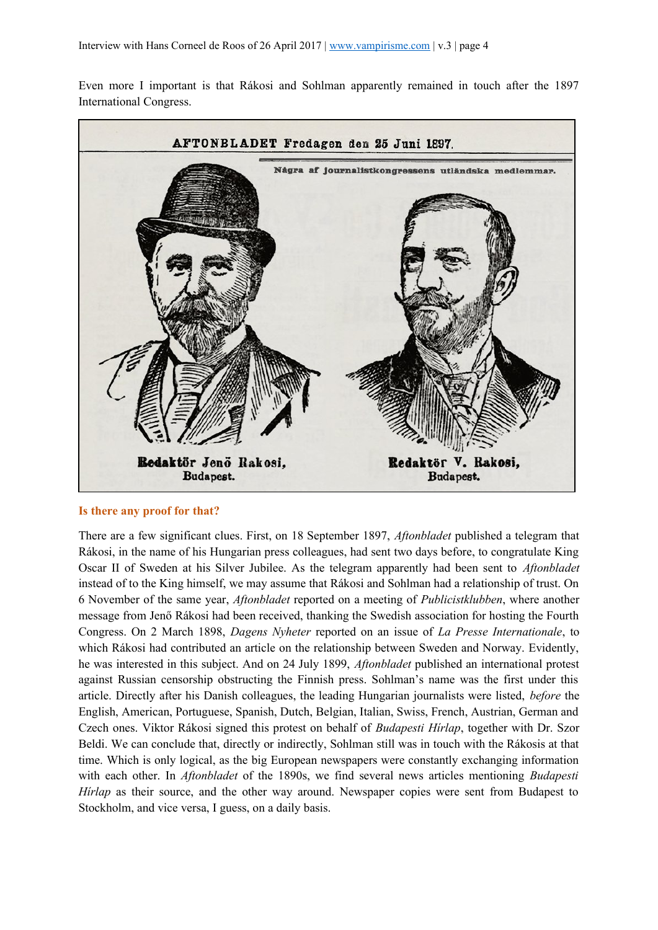Even more I important is that Rákosi and Sohlman apparently remained in touch after the 1897 International Congress.



#### **Is there any proof for that?**

There are a few significant clues. First, on 18 September 1897, *Aftonbladet* published a telegram that Rákosi, in the name of his Hungarian press colleagues, had sent two days before, to congratulate King Oscar II of Sweden at his Silver Jubilee. As the telegram apparently had been sent to *Aftonbladet* instead of to the King himself, we may assume that Rákosi and Sohlman had a relationship of trust. On 6 November of the same year, *Aftonbladet* reported on a meeting of *Publicistklubben*, where another message from Jenő Rákosi had been received, thanking the Swedish association for hosting the Fourth Congress. On 2 March 1898, *Dagens Nyheter* reported on an issue of *La Presse Internationale*, to which Rákosi had contributed an article on the relationship between Sweden and Norway. Evidently, he was interested in this subject. And on 24 July 1899, *Aftonbladet* published an international protest against Russian censorship obstructing the Finnish press. Sohlman's name was the first under this article. Directly after his Danish colleagues, the leading Hungarian journalists were listed, *before* the English, American, Portuguese, Spanish, Dutch, Belgian, Italian, Swiss, French, Austrian, German and Czech ones. Viktor Rákosi signed this protest on behalf of *Budapesti Hírlap*, together with Dr. Szor Beldi. We can conclude that, directly or indirectly, Sohlman still was in touch with the Rákosis at that time. Which is only logical, as the big European newspapers were constantly exchanging information with each other. In *Aftonbladet* of the 1890s, we find several news articles mentioning *Budapesti Hírlap* as their source, and the other way around. Newspaper copies were sent from Budapest to Stockholm, and vice versa, I guess, on a daily basis.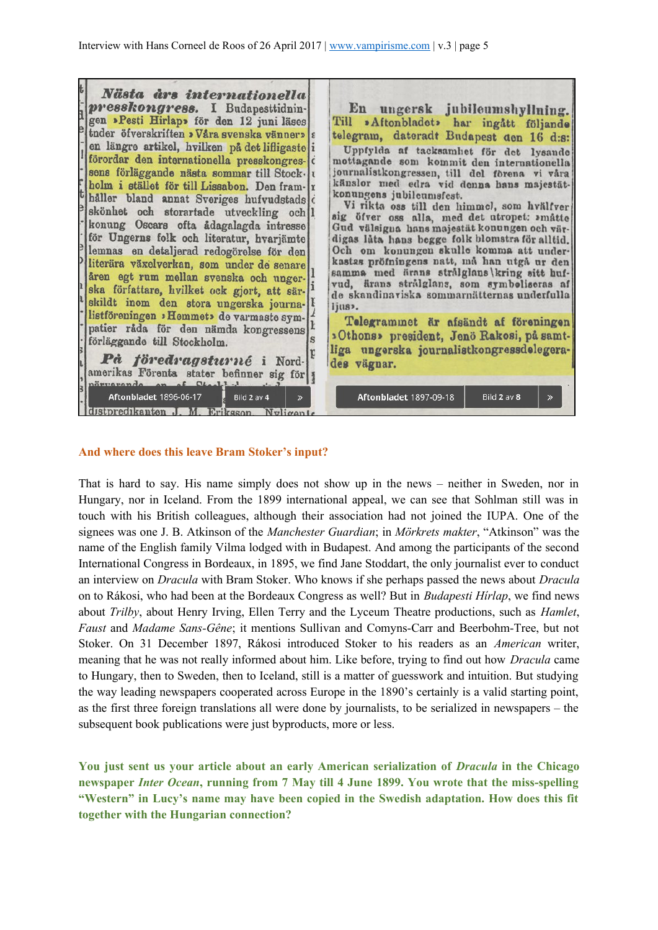

### **And where does this leave Bram Stoker's input?**

That is hard to say. His name simply does not show up in the news – neither in Sweden, nor in Hungary, nor in Iceland. From the 1899 international appeal, we can see that Sohlman still was in touch with his British colleagues, although their association had not joined the IUPA. One of the signees was one J. B. Atkinson of the *Manchester Guardian*; in *Mörkrets makter*, "Atkinson" was the name of the English family Vilma lodged with in Budapest. And among the participants of the second International Congress in Bordeaux, in 1895, we find Jane Stoddart, the only journalist ever to conduct an interview on *Dracula* with Bram Stoker. Who knows if she perhaps passed the news about *Dracula* on to Rákosi, who had been at the Bordeaux Congress as well? But in *Budapesti Hírlap*, we find news about *Trilby*, about Henry Irving, Ellen Terry and the Lyceum Theatre productions, such as *Hamlet*, *Faust* and *Madame Sans-Gêne*; it mentions Sullivan and Comyns-Carr and Beerbohm-Tree, but not Stoker. On 31 December 1897, Rákosi introduced Stoker to his readers as an *American* writer, meaning that he was not really informed about him. Like before, trying to find out how *Dracula* came to Hungary, then to Sweden, then to Iceland, still is a matter of guesswork and intuition. But studying the way leading newspapers cooperated across Europe in the 1890's certainly is a valid starting point, as the first three foreign translations all were done by journalists, to be serialized in newspapers – the subsequent book publications were just byproducts, more or less.

**You just sent us your article about an early American serialization of** *Dracula* **in the Chicago newspaper** *Inter Ocean***, running from 7 May till 4 June 1899. You wrote that the miss-spelling "Western" in Lucy's name may have been copied in the Swedish adaptation. How does this fit together with the Hungarian connection?**